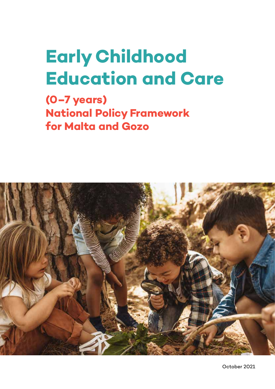# **Early Childhood Education and Care**

**(0–7 years) National Policy Framework for Malta and Gozo**

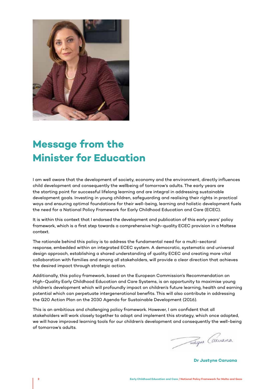

### **Message from the Minister for Education**

I am well aware that the development of society, economy and the environment, directly influences child development and consequently the wellbeing of tomorrow's adults. The early years are the starting point for successful lifelong learning and are integral in addressing sustainable development goals. Investing in young children, safeguarding and realising their rights in practical ways and ensuring optimal foundations for their well-being, learning and holistic development fuels the need for a National Policy Framework for Early Childhood Education and Care (ECEC).

It is within this context that I endorsed the development and publication of this early years' policy framework, which is a first step towards a comprehensive high-quality ECEC provision in a Maltese context.

The rationale behind this policy is to address the fundamental need for a multi-sectoral response, embedded within an integrated ECEC system. A democratic, systematic and universal design approach, establishing a shared understanding of quality ECEC and creating more vital collaboration with families and among all stakeholders, will provide a clear direction that achieves the desired impact through strategic action.

Additionally, this policy framework, based on the European Commission's Recommendation on High-Quality Early Childhood Education and Care Systems, is an opportunity to maximise young children's development which will profoundly impact on children's future learning, health and earning potential which can perpetuate intergenerational benefits. This will also contribute in addressing the G20 Action Plan on the 2030 Agenda for Sustainable Development (2016).

This is an ambitious and challenging policy framework. However, I am confident that all stakeholders will work closely together to adopt and implement this strategy, which once adopted, we will have improved learning tools for our children's development and consequently the well-being of tomorrow's adults.

Tunique Carvana

**Dr Justyne Caruana**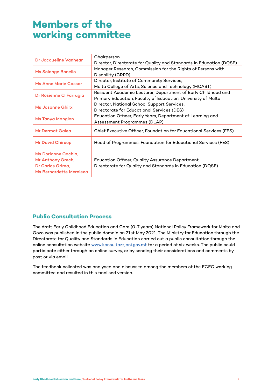### **Members of the working committee**

| Dr Jacqueline Vanhear                                                                   | Chairperson                                                                                                   |
|-----------------------------------------------------------------------------------------|---------------------------------------------------------------------------------------------------------------|
|                                                                                         | Director, Directorate for Quality and Standards in Education (DQSE)                                           |
| <b>Ms Solange Bonello</b>                                                               | Manager Research, Commission for the Rights of Persons with                                                   |
|                                                                                         | Disability (CRPD)                                                                                             |
| <b>Ms Anne Marie Cassar</b>                                                             | Director, Institute of Community Services,                                                                    |
|                                                                                         | Malta College of Arts, Science and Technology (MCAST)                                                         |
| Dr Rosienne C. Farrugia                                                                 | Resident Academic Lecturer, Department of Early Childhood and                                                 |
|                                                                                         | Primary Education, Faculty of Education, University of Malta                                                  |
| Ms Josanne Ghirxi                                                                       | Director, National School Support Services,                                                                   |
|                                                                                         | Directorate for Educational Services (DES)                                                                    |
| <b>Ms Tanya Mangion</b>                                                                 | Education Officer, Early Years, Department of Learning and                                                    |
|                                                                                         | Assessment Programmes (DLAP)                                                                                  |
| Mr Dermot Galea                                                                         | Chief Executive Officer, Foundation for Educational Services (FES)                                            |
| <b>Mr David Chircop</b>                                                                 | Head of Programmes, Foundation for Educational Services (FES)                                                 |
| Ms Dorianne Cachia,<br>Mr Anthony Grech,<br>Dr Carlos Grima,<br>Ms Bernardette Mercieca | Education Officer, Quality Assurance Department,<br>Directorate for Quality and Standards in Education (DQSE) |

### **Public Consultation Process**

The draft Early Childhood Education and Care (0-7 years) National Policy Framework for Malta and Gozo was published in the public domain on 21st May 2021. The Ministry for Education through the Directorate for Quality and Standards in Education carried out a public consultation through the online consultation website www.konsultazzjoni.gov.mt for a period of six weeks. The public could participate either through an online survey, or by sending their considerations and comments by post or via email.

The feedback collected was analysed and discussed among the members of the ECEC working committee and resulted in this finalised version.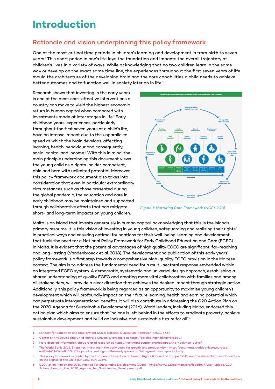### **Introduction**

### Rationale and vision underpinning this policy framework

One of the most critical time periods in children's learning and development is from birth to seven years.1 This short period in one's life lays the foundation and impacts the overall trajectory of children's lives in a variety of ways. While acknowledging that no two children learn in the same way or develop on the exact same time line, the experiences throughout the first seven years of life mould the architecture of the developing brain and the core capabilities a child needs to achieve better outcomes and to function well in society later on in life.<sup>2</sup>

Research shows that investing in the early years is one of the most cost-effective interventions a country can make to yield the highest economic return in human capital when compared with investments made at later stages in life.<sup>3</sup> Early childhood years' experiences, particularly throughout the first seven years of a child's life, have an intense impact due to the unparalleled speed at which the brain develops, affecting learning, health, behaviour and consequently, social capital and income.<sup>4</sup> With this in mind, the main principle underpinning this document views the young child as a rights-holder, competent, able and born with unlimited potential. Moreover, this policy framework document also takes into consideration that even in particular extraordinary circumstances such as those presented during the global pandemic, the education and care in early childhood may be maintained and supported through collaborative efforts that can mitigate short- and long-term impacts on young children.



*Figure 1: Nurturing Care Framework (NCF), 2018*

Malta is an island that invests generously in human capital, acknowledging that this is the island's primary resource. It is this vision of investing in young children, safeguarding and realising their rights<sup>5</sup> in practical ways and ensuring optimal foundations for their well-being, learning and development that fuels the need for a National Policy Framework for Early Childhood Education and Care (ECEC) in Malta. It is evident that the potential advantages of high quality ECEC are significant, far-reaching and long-lasting (Vandenbroeck et al. 2018). The development and publication of this early years' policy framework is a first step towards a comprehensive high-quality ECEC provision in the Maltese context. The aim is to address the fundamental need for a multi-sectoral response embedded within an integrated ECEC system. A democratic, systematic and universal design approach, establishing a shared understanding of quality ECEC and creating more vital collaboration with families and among all stakeholders, will provide a clear direction that achieves the desired impact through strategic action. Additionally, this policy framework is being regarded as an opportunity to maximise young children's development which will profoundly impact on their future learning, health and earning potential which can perpetuate intergenerational benefits. It will also contribute in addressing the G20 Action Plan on the 2030 Agenda for Sustainable Development (2016). World leaders, including Malta, endorsed this action plan which aims to ensure that "no one is left behind in the efforts to eradicate proverty, achieve sustainable development and build an inclusive and sustainable future for all".<sup>6</sup>

<sup>1</sup> Ministry for Education and Employment (2012) National Curriculum Framework (2012, p.45).

<sup>2</sup> Center on the Developing Child Harvard University available at https://developingchild.harvard.edu/.

<sup>3</sup> More detailed information about related research at https://heckmanequation.org/resource/the-heckman-curve/.

<sup>4</sup> The World Bank. 2016. Snapshot: Investing in the early years for growth and productivity – http://documents.worldbank.org/curated/ en/276471475756836740/Snapshot-investing-in-the-early-years-for%20-growth-and-productivity.

<sup>5</sup> This policy framework is guided by the European Convention on Human Rights (Council of Europe, 1950) and the United Nations Convention on the Rights of the Child (UNCRC) (UN, 1989).

<sup>6</sup> G20 Action Plan on the 2030 Agenda For Sustainable Development (2016) - https://www.b20germany.org/fileadmin/user\_upload/G20\_ Action\_Plan\_on\_the\_2030\_Agenda\_for\_Sustainable\_Development.pdf.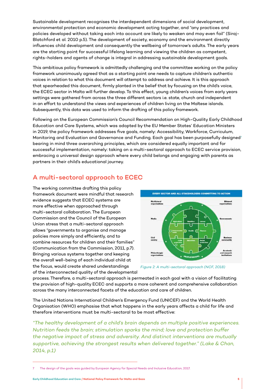Sustainable development recognises the interdependent dimensions of social development, environmental protection and economic development acting together, and "any practices and policies developed without taking each into account are likely to weaken and may even fail" (Siraj-Blatchford et al. 2010 p.5). The development of society, economy and the environment directly influences child development and consequently the wellbeing of tomorrow's adults. The early years are the starting point for successful lifelong learning and viewing the children as competent, rights-holders and agents of change is integral in addressing sustainable development goals.

This ambitious policy framework is admittedly challenging and the committee working on the policy framework unanimously agreed that as a starting point one needs to capture children's authentic voices in relation to what this document will attempt to address and achieve. It is this approach that spearheaded this document, firmly planted in the belief that by focusing on the child's voice, the ECEC sector in Malta will further develop. To this effect, young children's voices from early years settings were gathered from across the three different sectors i.e. state, church and independent in an effort to understand the views and experiences of children living on the Maltese islands. Subsequently, this data was used to inform the drafting of this policy framework.

Following on the European Commission's Council Recommendation on High-Quality Early Childhood Education and Care Systems, which was adopted by the EU Member States' Education Ministers in 2019, the policy framework addresses five goals, namely: Accessibility, Workforce, Curriculum, Monitoring and Evaluation and Governance and Funding. Each goal has been purposefully designed<sup>7</sup> bearing in mind three overarching principles, which are considered equally important and for successful implementation, namely: taking on a multi-sectoral approach to ECEC service provision, embracing a universal design approach where every child belongs and engaging with parents as partners in their child's educational journey.

### A multi-sectoral approach to ECEC

The working committee drafting this policy framework document were mindful that research evidence suggests that ECEC systems are more effective when approached through multi-sectoral collaboration. The European Commission and the Council of the European Union stress that a multi-sectoral approach allows "governments to organise and manage policies more simply and efficiently, and to combine resources for children and their families" (Communication from the Commission, 2011, p.7). Bringing various systems together and keeping the overall well-being of each individual child at the focus, would create shared understandings of the interconnected quality of the developmental





process. Therefore, a multi-sectoral approach is permeated in each goal with a vision of facilitating the provision of high-quality ECEC and supports a more coherent and comprehensive collaboration across the many interconnected facets of the education and care of children.

The United Nations International Children's Emergency Fund (UNICEF) and the World Health Organisation (WHO) emphasise that what happens in the early years affects a child for life and therefore interventions must be multi-sectoral to be most effective:

*"The healthy development of a child's brain depends on multiple positive experiences. Nutrition feeds the brain; stimulation sparks the mind; love and protection buffer the negative impact of stress and adversity. And distinct interventions are mutually supportive, achieving the strongest results when delivered together." (Lake & Chan, 2014, p.1)*

<sup>7</sup> The design of the goals was guided by European Agency for Special Needs and Inclusive Education, 2017.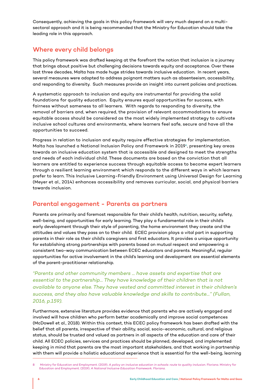Consequently, achieving the goals in this policy framework will very much depend on a multisectoral approach and it is being recommended that the Ministry for Education should take the leading role in this approach.

### Where every child belongs

This policy framework was drafted keeping at the forefront the notion that inclusion is a journey that brings about positive but challenging decisions towards equity and acceptance. Over these last three decades, Malta has made huge strides towards inclusive education. In recent years, several measures were adopted to address poignant matters such as absenteeism, accessibility, and responding to diversity. Such measures provide an insight into current policies and practices.

A systematic approach to inclusion and equity are instrumental for providing the solid foundations for quality education. Equity ensures equal opportunities for success, with fairness without sameness to all learners. With regards to responding to diversity, the removal of barriers and, when required, the provision of relevant accommodations to ensure equitable access should be considered as the most widely implemented strategy to cultivate inclusive school cultures and environments, where learners feel safe, secure and have all the opportunities to succeed.

Progress in relation to inclusion and equity require effective strategies for implementation. Malta has launched a National Inclusion Policy and Framework in 2019<sup>8</sup>, presenting key areas towards an inclusive education system that is accessible and designed to meet the strengths and needs of each individual child. These documents are based on the conviction that all learners are entitled to experience success through equitable access to become expert learners through a resilient learning environment which responds to the different ways in which learners prefer to learn. This Inclusive Learning-Friendly Environment using Universal Design for Learning (Meyer et al., 2014) enhances accessibility and removes curricular, social, and physical barriers towards inclusion.

### Parental engagement - Parents as partners

Parents are primarily and foremost responsible for their child's health, nutrition, security, safety, well-being, and opportunities for early learning. They play a fundamental role in their child's early development through their style of parenting, the home environment they create and the attitudes and values they pass on to their child. ECEC provision plays a vital part in supporting parents in their role as their child's caregivers and first educators. It provides a unique opportunity for establishing strong partnerships with parents based on mutual respect and empowering a consistent two-way communication between ECEC educators and parents. Meaningful, regular opportunities for active involvement in the child's learning and development are essential elements of the parent-practitioner relationship.

*"Parents and other community members ... have assets and expertise that are essential to the partnership… They have knowledge of their children that is not available to anyone else. They have vested and committed interest in their children's success, and they also have valuable knowledge and skills to contribute…" (Fullan, 2016, p.159).*

Furthermore, extensive literature provides evidence that parents who are actively engaged and involved will have children who perform better academically and improve social competences (McDowell et al., 2018). Within this context, this ECEC policy framework has been drafted with the belief that all parents, irrespective of their ability, social, socio-economic, cultural, and religious status, should be trusted and valued as partners in all aspects of the education and care of their child. All ECEC policies, services and practices should be planned, developed, and implemented keeping in mind that parents are the most important stakeholders, and that working in partnership with them will provide a holistic educational experience that is essential for the well-being, learning

<sup>8</sup> Ministry for Education and Employment. (2019). *A policy on inclusive education in schools: route to quality inclusion*. Floriana. Ministry for Education and Employment. (2019). *A National Inclusive Education Framework. Floriana.*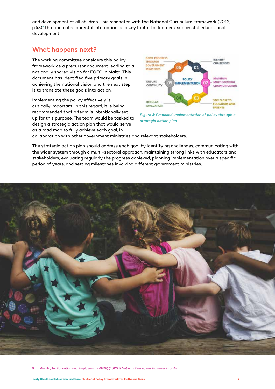and development of all children. This resonates with the National Curriculum Framework (2012, p.43)<sup>9</sup> that indicates parental interaction as a key factor for learners' successful educational development.

### What happens next?

The working committee considers this policy framework as a precursor document leading to a nationally shared vision for ECEC in Malta. This document has identified five primary goals in achieving the national vision and the next step is to translate these goals into action.

Implementing the policy effectively is critically important. In this regard, it is being recommended that a team is intentionally set up for this purpose. The team would be tasked to design a strategic action plan that would serve as a road map to fully achieve each goal, in



*Figure 3: Proposed implementation of policy through a strategic action plan*

collaboration with other government ministries and relevant stakeholders.

The strategic action plan should address each goal by identifying challenges, communicating with the wider system through a multi-sectoral approach, maintaining strong links with educators and stakeholders, evaluating regularly the progress achieved, planning implementation over a specific period of years, and setting milestones involving different government ministries.

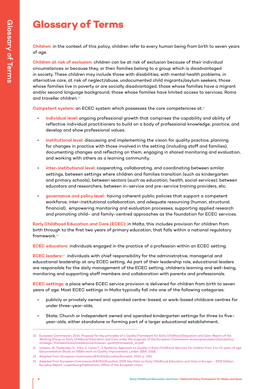### **Glossary of Terms**

**Children:** in the context of this policy, children refer to every human being from birth to seven years of age.

**Children at risk of exclusion:** children can be at risk of exclusion because of their individual circumstances or because they, or their families belong to a group which is disadvantaged in society. These children may include those with disabilities, with mental health problems, in alternative care, at risk of neglect/abuse, undocumented child migrants/asylum seekers, those whose families live in poverty or are socially disadvantaged, those whose families have a migrant and/or second language background, those whose families have limited access to services, Roma and traveller children.<sup>10</sup>

Competent system: an ECEC system which possesses the core competencies at:<sup>11</sup>

- **individual level:** ongoing professional growth that comprises the capability and ability of reflective individual practitioners to build on a body of professional knowledge, practice, and develop and show professional values.
- **institutional level:** discussing and implementing the vision for quality practice, planning for changes in practice with those involved in the setting (including staff and families), documenting changes and reflecting on them, engaging in shared monitoring and evaluation, and working with others as a learning community.
- **inter-institutional level:** cooperating, collaborating, and coordinating between similar settings, between settings where children and families transition (such as kindergarten and primary schools), between sectors (such as education, health, social services), between educators and researchers, between in-service and pre-service training providers, etc.
- **governance and policy level:** having coherent public policies that support a competent workforce, inter-institutional collaboration, and adequate resourcing (human, structural, financial), empowering monitoring and evaluation processes, supporting applied research and promoting child- and family-centred approaches as the foundation for ECEC services.

**Early Childhood Education and Care (ECEC):** in Malta, this includes provision for children from birth through to the first two years of primary education, that falls within a national regulatory framework.12

**ECEC educators:** individuals engaged in the practice of a profession within an ECEC setting.

**ECEC leaders:**13 individuals with chief responsibility for the administrative, managerial and educational leadership at any ECEC setting. As part of their leadership role, educational leaders are responsible for the daily management of the ECEC setting, children's learning and well-being, monitoring and supporting staff members and collaboration with parents and professionals.

**ECEC settings:** a place where ECEC service provision is delivered for children from birth to seven years of age. Most ECEC settings in Malta typically fall into one of the following categories:

- publicly or privately owned and operated centre-based, or work-based childcare centres for under three-year-olds,
- State, Church or Independent owned and operated kindergarten settings for three to fiveyear-olds, either standalone or forming part of a larger educational establishment,

<sup>10</sup> European Commission, 2014. Proposal for key principles of a Quality Framework for Early Childhood Education and Care. Report of the Working Group on Early Childhood Education and Care under the auspices of the European Commission. ec.europa.eu/education/policy/ strategic-framework/archive/documents/ecec-qualityframework\_en.pdf.

<sup>11</sup> Ionescu, M., Tankersley, D., Trikic Z., Vonta T., A Systemic Approach to Quality in Early Childhood Services for children from 3 to 10 years of age. Documentation Study on ISSA's work on Quality Improvement. Leiden: ISSA, 2018.

<sup>12</sup> Adapted from (*European Commission/EACEA/Eurydice/Eurostat, 2014, p. 155*).

<sup>13</sup> Adapted from European Commission/EACEA/Eurydice, 2019. Key Data on Early Childhood Education and Care in Europe – 2019 Edition. Eurydice Report. Luxembourg:Publications Office of the European Union.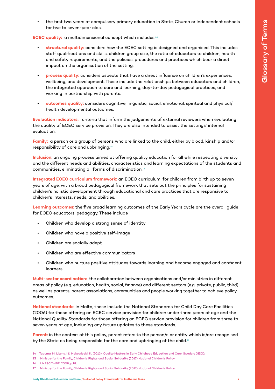• the first two years of compulsory primary education in State, Church or Independent schools for five to seven-year olds.

**ECEC quality:** a multidimensional concept which includes:<sup>14</sup>

- **structural quality:** considers how the ECEC setting is designed and organised. This includes staff qualifications and skills, children group size, the ratio of educators to children, health and safety requirements, and the policies, procedures and practices which bear a direct impact on the organisation of the setting.
- **process quality:** considers aspects that have a direct influence on children's experiences, wellbeing, and development. These include the relationships between educators and children, the integrated approach to care and learning, day-to-day pedagogical practices, and working in partnership with parents.
- **outcomes quality:** considers cognitive, linguistic, social, emotional, spiritual and physical/ health developmental outcomes.

**Evaluation indicators:** criteria that inform the judgements of external reviewers when evaluating the quality of ECEC service provision. They are also intended to assist the settings' internal evaluation.

**Family:** a person or a group of persons who are linked to the child, either by blood, kinship and/or responsibility of care and upbringing.15

**Inclusion:** an ongoing process aimed at offering quality education for all while respecting diversity and the different needs and abilities, characteristics and learning expectations of the students and communities, eliminating all forms of discrimination.16

**Integrated ECEC curriculum framework:** an ECEC curriculum, for children from birth up to seven years of age, with a broad pedagogical framework that sets out the principles for sustaining children's holistic development through educational and care practices that are responsive to children's interests, needs, and abilities.

**Learning outcomes:** the five broad learning outcomes of the Early Years cycle are the overall guide for ECEC educators' pedagogy. These include

- Children who develop a strong sense of identity
- Children who have a positive self-image
- Children are socially adept
- Children who are effective communicators
- Children who nurture positive attitudes towards learning and become engaged and confident learners.

**Multi-sector coordination:** the collaboration between organisations and/or ministries in different areas of policy (e.g. education, health, social, finance) and different sectors (e.g. private, public, third) as well as parents, parent associations, communities and people working together to achieve policy outcomes.

**National standards:** in Malta, these include the National Standards for Child Day Care Facilities (2006) for those offering an ECEC service provision for children under three years of age and the National Quality Standards for those offering an ECEC service provision for children from three to seven years of age, including any future updates to these standards.

**Parent:** in the context of this policy, parent refers to the person/s or entity which is/are recognised by the State as being responsible for the care and upbringing of the child.<sup>17</sup>

16 UNESCO-IBE, 2008, p.18.

<sup>14</sup> Taguma, M, Litens, I & Makowiecki, K. (2013). Quality Matters in Early Childhood Education and Care. Sweden: OECD.

<sup>15</sup> Ministry for the Family, Children's Rights and Social Solidarity (2017) National Children's Policy.

<sup>17</sup> Ministry for the Family, Children's Rights and Social Solidarity (2017) National Children's Policy.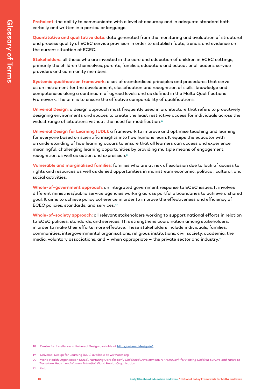**Proficient:** the ability to communicate with a level of accuracy and in adequate standard both verbally and written in a particular language.

**Quantitative and qualitative data:** data generated from the monitoring and evaluation of structural and process quality of ECEC service provision in order to establish facts, trends, and evidence on the current situation of ECEC.

**Stakeholders:** all those who are invested in the care and education of children in ECEC settings, primarily the children themselves, parents, families, educators and educational leaders, service providers and community members.

**Systemic qualification framework:** a set of standardised principles and procedures that serve as an instrument for the development, classification and recognition of skills, knowledge and competencies along a continuum of agreed levels and as defined in the Malta Qualifications Framework. The aim is to ensure the effective comparability of qualifications.

**Universal Design:** a design approach most frequently used in architecture that refers to proactively designing environments and spaces to create the least restrictive access for individuals across the widest range of situations without the need for modification.<sup>18</sup>

**Universal Design for Learning (UDL):** a framework to improve and optimise teaching and learning for everyone based on scientific insights into how humans learn. It equips the educator with an understanding of how learning occurs to ensure that all learners can access and experience meaningful, challenging learning opportunities by providing multiple means of engagement, recognition as well as action and expression.19

**Vulnerable and marginalised families:** families who are at risk of exclusion due to lack of access to rights and resources as well as denied opportunities in mainstream economic, political, cultural, and social activities.

**Whole-of-government approach:** an integrated government response to ECEC issues. It involves different ministries/public service agencies working across portfolio boundaries to achieve a shared goal. It aims to achieve policy coherence in order to improve the effectiveness and efficiency of ECEC policies, standards, and services.20

**Whole-of-society approach:** all relevant stakeholders working to support national efforts in relation to ECEC policies, standards, and services. This strengthens coordination among stakeholders, in order to make their efforts more effective. These stakeholders include individuals, families, communities, intergovernmental organisations, religious institutions, civil society, academia, the media, voluntary associations, and  $-$  when appropriate  $-$  the private sector and industry.<sup>21</sup>

21 ibid.

<sup>18</sup> Centre for Excellence in Universal Design available at http://universaldesign.ie/.

<sup>19</sup> Universal Design for Learning (UDL) available at www.cast.org

<sup>20</sup> World Health Organisation (2018). *Nurturing Care for Early Childhood Development: A Framework for Helping Children Survive and Thrive to Transform Health and Human Potential*. World Health Organisation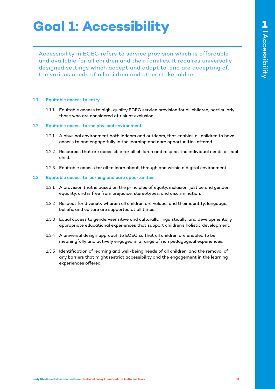## **Goal 1: Accessibility**

Accessibility in ECEC refers to service provision which is affordable and available for all children and their families. It requires universally designed settings which accept and adapt to, and are accepting of, the various needs of all children and other stakeholders.

### 1.1 Equitable access to entry

1.1.1 Equitable access to high-quality ECEC service provision for all children, particularly those who are considered at risk of exclusion.

### 1.2 Equitable access to the physical environment

- 1.2.1 A physical environment both indoors and outdoors, that enables all children to have access to and engage fully in the learning and care opportunities offered.
- 1.2.2 Resources that are accessible for all children and respect the individual needs of each child.
- 1.2.3 Equitable access for all to learn about, through and within a digital environment.

### 1.3 Equitable access to learning and care opportunities

- 1.3.1 A provision that is based on the principles of equity, inclusion, justice and gender equality, and is free from prejudice, stereotypes, and discrimination.
- 1.3.2 Respect for diversity wherein all children are valued, and their identity, language, beliefs, and culture are supported at all times.
- 1.3.3 Equal access to gender-sensitive and culturally, linguistically, and developmentally appropriate educational experiences that support children's holistic development.
- 1.3.4 A universal design approach to ECEC so that all children are enabled to be meaningfully and actively engaged in a range of rich pedagogical experiences.
- 1.3.5 Identification of learning and well-being needs of all children, and the removal of any barriers that might restrict accessibility and the engagement in the learning experiences offered.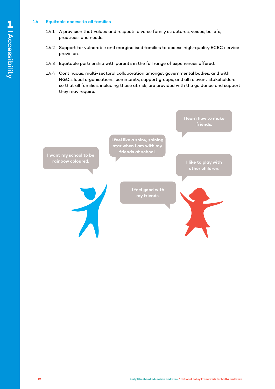### 1.4 Equitable access to all families

- 1.4.1 A provision that values and respects diverse family structures, voices, beliefs, practices, and needs.
- 1.4.2 Support for vulnerable and marginalised families to access high-quality ECEC service provision.
- 1.4.3 Equitable partnership with parents in the full range of experiences offered.
- 1.4.4 Continuous, multi-sectoral collaboration amongst governmental bodies, and with NGOs, local organisations, community, support groups, and all relevant stakeholders so that all families, including those at risk, are provided with the guidance and support they may require.

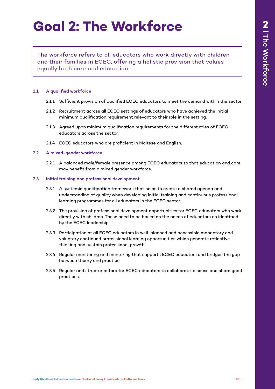## **Goal 2: The Workforce**

The workforce refers to all educators who work directly with children and their families in ECEC, offering a holistic provision that values equally both care and education.

### 2.1 A qualified workforce

- 2.1.1 Sufficient provision of qualified ECEC educators to meet the demand within the sector.
- 2.1.2 Recruitment across all ECEC settings of educators who have achieved the initial minimum qualification requirement relevant to their role in the setting.
- 2.1.3 Agreed upon minimum qualification requirements for the different roles of ECEC educators across the sector.
- 2.1.4 ECEC educators who are proficient in Maltese and English.

### 2.2 A mixed-gender workforce

2.2.1 A balanced male/female presence among ECEC educators so that education and care may benefit from a mixed gender workforce.

### 2.3 Initial training and professional development

- 2.3.1 A systemic qualification framework that helps to create a shared agenda and understanding of quality when developing initial training and continuous professional learning programmes for all educators in the ECEC sector.
- 2.3.2 The provision of professional development opportunities for ECEC educators who work directly with children. These need to be based on the needs of educators as identified by the ECEC leadership.
- 2.3.3 Participation of all ECEC educators in well-planned and accessible mandatory and voluntary continued professional learning opportunities which generate reflective thinking and sustain professional growth.
- 2.3.4 Regular monitoring and mentoring that supports ECEC educators and bridges the gap between theory and practice.
- 2.3.5 Regular and structured fora for ECEC educators to collaborate, discuss and share good practices.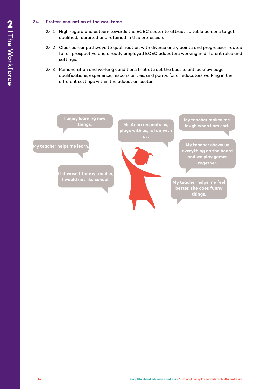### 2.4 Professionalisation of the workforce

- 2.4.1 High regard and esteem towards the ECEC sector to attract suitable persons to get qualified, recruited and retained in this profession.
- 2.4.2 Clear career pathways to qualification with diverse entry points and progression routes for all prospective and already employed ECEC educators working in different roles and settings.
- 2.4.3 Remuneration and working conditions that attract the best talent, acknowledge qualifications, experience, responsibilities, and parity, for all educators working in the different settings within the education sector.

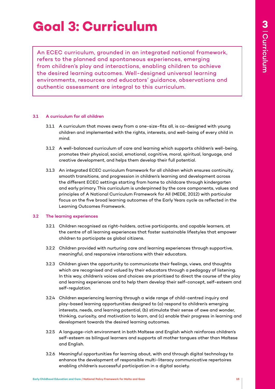## **Goal 3: Curriculum**

An ECEC curriculum, grounded in an integrated national framework, refers to the planned and spontaneous experiences, emerging from children's play and interactions, enabling children to achieve the desired learning outcomes. Well-designed universal learning environments, resources and educators' guidance, observations and authentic assessment are integral to this curriculum.

### 3.1 A curriculum for all children

- 3.1.1 A curriculum that moves away from a one-size-fits all, is co-designed with young children and implemented with the rights, interests, and well-being of every child in mind.
- 3.1.2 A well-balanced curriculum of care and learning which supports children's well-being, promotes their physical, social, emotional, cognitive, moral, spiritual, language, and creative development, and helps them develop their full potential.
- 3.1.3 An integrated ECEC curriculum framework for all children which ensures continuity, smooth transitions, and progression in children's learning and development across the different ECEC settings starting from home to childcare through kindergarten and early primary. This curriculum is underpinned by the core components, values and principles of A National Curriculum Framework for All (MEDE, 2012) with particular focus on the five broad learning outcomes of the Early Years cycle as reflected in the Learning Outcomes Framework.

### 3.2 The learning experiences

- 3.2.1 Children recognised as right-holders, active participants, and capable learners, at the centre of all learning experiences that foster sustainable lifestyles that empower children to participate as global citizens.
- 3.2.2 Children provided with nurturing care and learning experiences through supportive, meaningful, and responsive interactions with their educators.
- 3.2.3 Children given the opportunity to communicate their feelings, views, and thoughts which are recognised and valued by their educators through a pedagogy of listening. In this way, children's voices and choices are prioritised to direct the course of the play and learning experiences and to help them develop their self-concept, self-esteem and self-regulation.
- 3.2.4 Children experiencing learning through a wide range of child-centred inquiry and play-based learning opportunities designed to (a) respond to children's emerging interests, needs, and learning potential, (b) stimulate their sense of awe and wonder, thinking, curiosity, and motivation to learn, and (c) enable their progress in learning and development towards the desired learning outcomes.
- 3.2.5 A language-rich environment in both Maltese and English which reinforces children's self-esteem as bilingual learners and supports all mother tongues other than Maltese and English.
- 3.2.6 Meaningful opportunities for learning about, with and through digital technology to enhance the development of responsible multi-literacy communicative repertoires enabling children's successful participation in a digital society.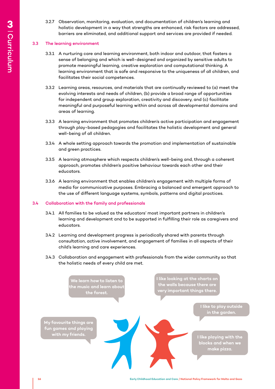3.2.7 Observation, monitoring, evaluation, and documentation of children's learning and holistic development in a way that strengths are enhanced, risk factors are addressed, barriers are eliminated, and additional support and services are provided if needed.

### 3.3 The learning environment

- 3.3.1 A nurturing care and learning environment, both indoor and outdoor, that fosters a sense of belonging and which is well-designed and organized by sensitive adults to promote meaningful learning, creative exploration and computational thinking. A learning environment that is safe and responsive to the uniqueness of all children, and facilitates their social competences.
- 3.3.2 Learning areas, resources, and materials that are continually reviewed to (a) meet the evolving interests and needs of children, (b) provide a broad range of opportunities for independent and group exploration, creativity and discovery, and (c) facilitate meaningful and purposeful learning within and across all developmental domains and areas of learning.
- 3.3.3 A learning environment that promotes children's active participation and engagement through play-based pedagogies and facilitates the holistic development and general well-being of all children.
- 3.3.4 A whole setting approach towards the promotion and implementation of sustainable and green practices.
- 3.3.5 A learning atmosphere which respects children's well-being and, through a coherent approach, promotes children's positive behaviour towards each other and their educators.
- 3.3.6 A learning environment that enables children's engagement with multiple forms of media for communicative purposes. Embracing a balanced and emergent approach to the use of different language systems, symbols, patterns and digital practices.

### 3.4 Collaboration with the family and professionals

- 3.4.1 All families to be valued as the educators' most important partners in children's learning and development and to be supported in fulfilling their role as caregivers and educators.
- 3.4.2 Learning and development progress is periodically shared with parents through consultation, active involvement, and engagement of families in all aspects of their child's learning and care experiences.
- 3.4.3 Collaboration and engagement with professionals from the wider community so that the holistic needs of every child are met.

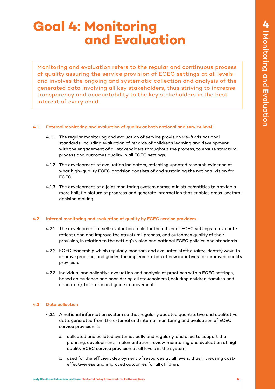## **Goal 4: Monitoring and Evaluation**

Monitoring and evaluation refers to the regular and continuous process of quality assuring the service provision of ECEC settings at all levels and involves the ongoing and systematic collection and analysis of the generated data involving all key stakeholders, thus striving to increase transparency and accountability to the key stakeholders in the best interest of every child.

### 4.1 External monitoring and evaluation of quality at both national and service level

- 4.1.1 The regular monitoring and evaluation of service provision vis-à-vis national standards, including evaluation of records of children's learning and development, with the engagement of all stakeholders throughout the process, to ensure structural, process and outcomes quality in all ECEC settings.
- 4.1.2 The development of evaluation indicators, reflecting updated research evidence of what high-quality ECEC provision consists of and sustaining the national vision for ECEC.
- 4.1.3 The development of a joint monitoring system across ministries/entities to provide a more holistic picture of progress and generate information that enables cross-sectoral decision making.

### 4.2 Internal monitoring and evaluation of quality by ECEC service providers

- 4.2.1 The development of self-evaluation tools for the different ECEC settings to evaluate, reflect upon and improve the structural, process, and outcomes quality of their provision, in relation to the setting's vision and national ECEC policies and standards.
- 4.2.2 ECEC leadership which regularly monitors and evaluates staff quality, identify ways to improve practice, and guides the implementation of new initiatives for improved quality provision.
- 4.2.3 Individual and collective evaluation and analysis of practices within ECEC settings, based on evidence and considering all stakeholders (including children, families and educators), to inform and guide improvement.

### 4.3 Data collection

- 4.3.1 A national information system so that regularly updated quantitative and qualitative data, generated from the external and internal monitoring and evaluation of ECEC service provision is:
	- a. collected and collated systematically and regularly, and used to support the planning, development, implementation, review, monitoring and evaluation of high quality ECEC service provision at all levels in the system,
	- b. used for the efficient deployment of resources at all levels, thus increasing costeffectiveness and improved outcomes for all children,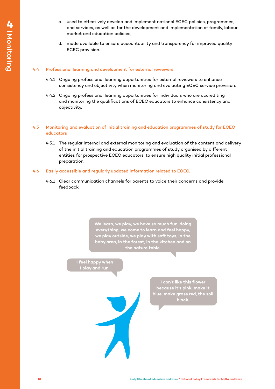- c. used to effectively develop and implement national ECEC policies, programmes, and services, as well as for the development and implementation of family, labour market and education policies,
- d. made available to ensure accountability and transparency for improved quality ECEC provision.

### 4.4 Professional learning and development for external reviewers

- 4.4.1 Ongoing professional learning opportunities for external reviewers to enhance consistency and objectivity when monitoring and evaluating ECEC service provision.
- 4.4.2 Ongoing professional learning opportunities for individuals who are accrediting and monitoring the qualifications of ECEC educators to enhance consistency and objectivity.

### 4.5 Monitoring and evaluation of initial training and education programmes of study for ECEC educators

4.5.1 The regular internal and external monitoring and evaluation of the content and delivery of the initial training and education programmes of study organised by different entities for prospective ECEC educators, to ensure high quality initial professional preparation.

### 4.6 Easily accessible and regularly updated information related to ECEC.

4.6.1 Clear communication channels for parents to voice their concerns and provide feedback.

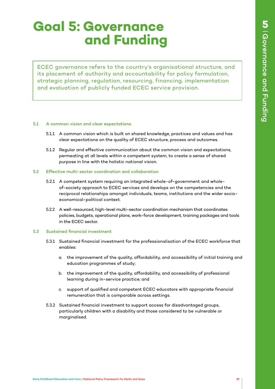## **Goal 5: Governance and Funding**

ECEC governance refers to the country's organisational structure, and its placement of authority and accountability for policy formulation, strategic planning, regulation, resourcing, financing, implementation and evaluation of publicly funded ECEC service provision.

#### 5.1 A common vision and clear expectations

- 5.1.1 A common vision which is built on shared knowledge, practices and values and has clear expectations on the quality of ECEC structure, process and outcomes.
- 5.1.2 Regular and effective communication about the common vision and expectations, permeating at all levels within a competent system, to create a sense of shared purpose in line with the holistic national vision.

#### 5.2 Effective multi-sector coordination and collaboration

- 5.2.1 A competent system requiring an integrated whole-of-government and wholeof-society approach to ECEC services and develops on the competencies and the reciprocal relationships amongst individuals, teams, institutions and the wider socioeconomical-political context.
- 5.2.2 A well-resourced, high-level multi-sector coordination mechanism that coordinates policies, budgets, operational plans, work-force development, training packages and tools in the ECEC sector.

### 5.3 Sustained financial investment

- 5.3.1 Sustained financial investment for the professionalisation of the ECEC workforce that enables:
	- a. the improvement of the quality, affordability, and accessibility of initial training and education programmes of study;
	- b. the improvement of the quality, affordability, and accessibility of professional learning during in-service practice; and
	- c. support of qualified and competent ECEC educators with appropriate financial remuneration that is comparable across settings.
- 5.3.2 Sustained financial investment to support access for disadvantaged groups, particularly children with a disability and those considered to be vulnerable or marginalised.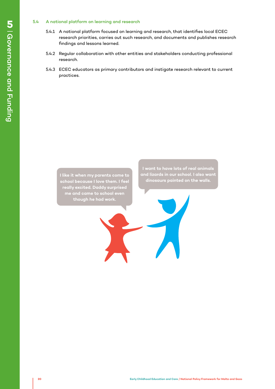- 5.4 A national platform on learning and research<br>
5.4.1 A national platform focused on learning<br>
research priorities, carries out such res<br>
findings and lessons learned.<br>
5.4.2 Regular collaboration with other entitie<br>
res 5.4.1 A national platform focused on learning and research, that identifies local ECEC research priorities, carries out such research, and documents and publishes research findings and lessons learned.
	- 5.4.2 Regular collaboration with other entities and stakeholders conducting professional research.
	- 5.4.3 ECEC educators as primary contributors and instigate research relevant to current practices.

**I like it when my parents come to school because I love them. I feel really excited. Daddy surprised me and came to school even though he had work.**

**I want to have lots of real animals and lizards in our school. I also want dinosaurs painted on the walls.**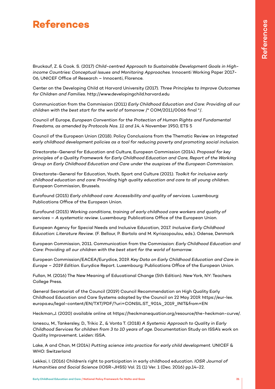### **References**

Bruckauf, Z. & Cook. S. (2017) *Child-centred Approach to Sustainable Development Goals in Highincome Countries: Conceptual Issues and Monitoring Approaches*. Innocenti Working Paper 2017- 06, UNICEF Office of Research – Innocenti, Florence.

Center on the Developing Child at Harvard University (2017). *Three Principles to Improve Outcomes for Children and Families*. http://www.developingchild.harvard.edu

Communication from the Commission (2011) *Early Childhood Education and Care: Providing all our children with the best start for the world of tomorrow* /\* COM/2011/0066 final \*/.

Council of Europe, *European Convention for the Protection of Human Rights and Fundamental Freedoms, as amended by Protocols Nos. 11 and 14*, 4 November 1950, ETS 5

Council of the European Union (2018). Policy Conclusions from the Thematic Review on *Integrated early childhood development policies as a tool for reducing poverty and promoting social inclusion*.

Directorate-General for Education and Culture, European Commission (2014). *Proposal for key principles of a Quality Framework for Early Childhood Education and Care, Report of the Working Group on Early Childhood Education and Care under the auspices of the European Commission*.

Directorate-General for Education, Youth, Sport and Culture (2021). *Toolkit for inclusive early childhood education and care: Providing high quality education and care to all young children*. European Commission, Brussels.

Eurofound (2015) *Early childhood care: Accessibility and quality of services*. Luxembourg: Publications Office of the European Union.

Eurofound (2015) *Working conditions, training of early childhood care workers and quality of services – A systematic review*. Luxembourg: Publications Office of the European Union.

European Agency for Special Needs and Inclusive Education, 2017. *Inclusive Early Childhood Education: Literature Review*. (F. Bellour, P. Bartolo and M. Kyriazopoulou, eds.). Odense, Denmark

European Commission, 2011. Communication from the Commission: *Early Childhood Education and Care: Providing all our children with the best start for the world of tomorrow*.

European Commission/EACEA/Eurydice, 2019. *Key Data on Early Childhood Education and Care in Europe – 2019 Edition*. Eurydice Report. Luxembourg: Publications Office of the European Union.

Fullan, M. (2016) The New Meaning of Educational Change (5th Edition). New York, NY: Teachers College Press.

General Secretariat of the Council (2019) Council Recommendation on High Quality Early Childhood Education and Care Systems adopted by the Council on 22 May 2019. https://eur-lex. europa.eu/legal-content/EN/TXT/PDF/?uri=CONSIL:ST\_9014\_2019\_INIT&from=EN

Heckman,J. (2020) available online at https://heckmanequation.org/resource/the-heckman-curve/.

Ionescu, M., Tankersley, D., Trikic Z., & Vonta T. (2018) *A Systemic Approach to Quality in Early Childhood Services for children from 3 to 10 years of age*. Documentation Study on ISSA's work on Quality Improvement. Leiden: ISSA.

Lake, A and Chan, M (2014) *Putting science into practice for early child development*. UNICEF & WHO: Switzerland

Lekkai, I. (2016) Children's right to participation in early childhood education. *IOSR Journal of Humanities and Social Science* (IOSR-JHSS) Vol. 21 (1) Ver. 1 (Dec. 2016) pp.14-22.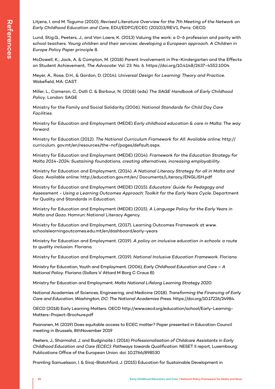Litjens, I. and M. Taguma (2010), *Revised Literature Overview for the 7th Meeting of the Network on Early Childhood Education and Care*, EDU/EDPC/ECEC (2010)3/REV1, Paris: OECD.

Lund, Stig.G., Peeters, J., and Van Laere, K. (2013) Valuing the work: a 0-6 profession and parity with school teachers. *Young children and their services: developing a European approach. A Children in Europe Policy Paper* principle 8.

McDowell, K.; Jack, A. & Compton, M. (2018) Parent Involvement in Pre-Kindergarten and the Effects on Student Achievement, *The Advocate*: Vol. 23: No. 6. https://doi.org/10.4148/2637-4552.1004

Meyer, A., Rose, D.H., & Gordon, D. (2014). *Universal Design for Learning: Theory and Practice*. Wakefield, MA: CAST.

Miller, L., Cameron, C., Dalli C. & Barbour, N. (2018) (eds) *The SAGE Handbook of Early Childhood Policy*. London: SAGE

Ministry for the Family and Social Solidarity (2006). *National Standards for Child Day Care Facilities*.

Ministry for Education and Employment (MEDE) *Early childhood education & care in Malta: The way forward*.

Ministry for Education (2012). *The National Curriculum Framework for All*. Available online: http:// curriculum. gov.mt/en/resources/the-ncf/pages/default.aspx.

Ministry for Education and Employment (MEDE) (2014). *Framework for the Education Strategy for Malta 2014-2024: Sustaining foundations, creating alternatives, increasing employability*.

Ministry for Education and Employment, (2014). *A National Literacy Strategy for all in Malta and Gozo*. Available online: http://education.gov.mt/en/ Documents/Literacy/ENGLISH.pdf

Ministry for Education and Employment (MEDE) (2015). *Educators' Guide for Pedagogy and Assessment - Using a Learning Outcomes Approach: Toolkit for the Early Years Cycle*. Department for Quality and Standards in Education.

Ministry for Education and Employment (MEDE) (2015). *A Language Policy for the Early Years in Malta and Gozo*. Hamrun: National Literacy Agency.

Ministry for Education and Employment, (2017). Learning Outcomes Framework at www. schoolslearningoutcomes.edu.mt/en/dashboard/early-years

Ministry for Education and Employment. (2019). *A policy on inclusive education in schools: a route to quality inclusion*. Floriana.

Ministry for Education and Employment. (2019). *National Inclusive Education Framework*. Floriana

Ministry for Education, Youth and Employment. (2006), *Early Childhood Education and Care – A National Policy*. Floriana (Sollars V Attard M Borg C Craus B)

Ministry for Education and Employment. *Malta National Lifelong Learning Strategy 2020*.

National Academies of Sciences, Engineering, and Medicine (2018). *Transforming the Financing of Early Care and Education. Washington, DC: The National Academies Press*. https://doi.org/10.17226/24984.

OECD (2018) Early Learning Matters. OECD http://www.oecd.org/education/school/Early-Learning-Matters-Project-Brochure.pdf

Paananen, M. (2019) Does equitable access to ECEC matter? Paper presented in Education Council meeting in Brussels, 8thNovember 2019

Peeters, J., Sharmahd, J. and Budginaitė I. (2016) *Professionalisation of Childcare Assistants in Early Childhood Education and Care (ECEC): Pathways towards Qualification*. NESET II report, Luxembourg: Publications Office of the European Union. doi: 10.2766/898530

Pramling Samuelsson, I. & Siraj-Blatchford, J. (2015) Education for Sustainable Development in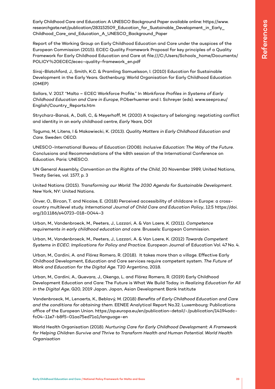Early Childhood Care and Education: A UNESCO Background Paper available online: https://www. researchgate.net/publication/283152509\_Education\_for\_Sustainable\_Development\_in\_Early\_ Childhood\_Care\_and\_Education\_A\_UNESCO\_Background\_Paper

Report of the Working Group on Early Childhood Education and Care under the auspices of the European Commission (2015). ECEC Quality Framework Proposal for key principles of a Quality Framework for Early Childhood Education and Care at file:///C:/Users/Schools\_home/Documents/ POLICY%20ECEC/ecec-quality-framework\_en.pdf

Siraj-Blatchford, J., Smith, K.C. & Pramling Samuelsson, I. (2010) Education for Sustainable Development in the Early Years. Gothenburg: World Organisation for Early Childhood Education (OMEP)

Sollars, V. 2017. "Malta – ECEC Workforce Profile." In *Workforce Profiles in Systems of Early Childhood Education and Care in Europe*, P.Oberhuemer and I. Schreyer (eds). www.seepro.eu/ English/Country\_Reports.htm

Strycharz-Banaś, A., Dalli, C., & Meyerhoff, M. (2020) A trajectory of belonging: negotiating conflict and identity in an early childhood centre, *Early Years*, DOI

Taguma, M, Litens, I & Makowiecki, K. (2013). *Quality Matters in Early Childhood Education and Care*. Sweden: OECD.

UNESCO-International Bureau of Education (2008). *Inclusive Education: The Way of the Future*. Conclusions and Recommendations of the 48th session of the International Conference on Education. Paris: UNESCO.

UN General Assembly, *Convention on the Rights of the Child*, 20 November 1989, United Nations, Treaty Series, vol. 1577, p. 3

United Nations (2015). *Transforming our World: The 2030 Agenda for Sustainable Development*. New York, NY: United Nations.

Ünver, O., Bircan, T. and Nicaise, E. (2018) Perceived accessibility of childcare in Europe: a crosscountry multilevel study. *International Journal of Child Care and Education Policy*, 12:5 https://doi. org/10.1186/s40723-018-0044-3

Urban, M., Vandenbroeck, M., Peeters, J., Lazzari, A. & Van Laere, K. (2011). *Competence requirements in early childhood education and care*. Brussels: European Commission.

Urban, M., Vandenbroeck, M., Peeters, J., Lazzari, A. & Van Laere, K. (2012) *Towards Competent Systems in ECEC. Implications for Policy and Practice*. European Journal of Education Vol. 47 No. 4.

Urban, M., Cardini, A. and Flórez Romero, R. (2018). It takes more than a village. Effective Early Childhood Development, Education and Care services require competent system. *The Future of Work and Education for the Digital Age*. T20 Argentina, 2018.

Urban, M., Cardini, A., Guevara, J., Okengo, L. and Flórez Romero, R. (2019) Early Childhood Development Education and Care: The Future is What We Build Today. in *Realizing Education for All in the Digital Age*, G20, 2019 Japan. Japan, Asian Development Bank Institute

Vandenbroeck, M., Lenaerts, K., Beblavý, M. (2018) *Benefits of Early Childhood Education and Care and the conditions for obtaining them*. EENEE Analytical Report No.32. Luxembourg: Publications office of the European Union. https://op.europa.eu/en/publication-detail/-/publication/14194adcfc04-11e7-b8f5-01aa75ed71a1/language-en

World Health Organisation (2018). *Nurturing Care for Early Childhood Development: A Framework for Helping Children Survive and Thrive to Transform Health and Human Potential. World Health Organisation*